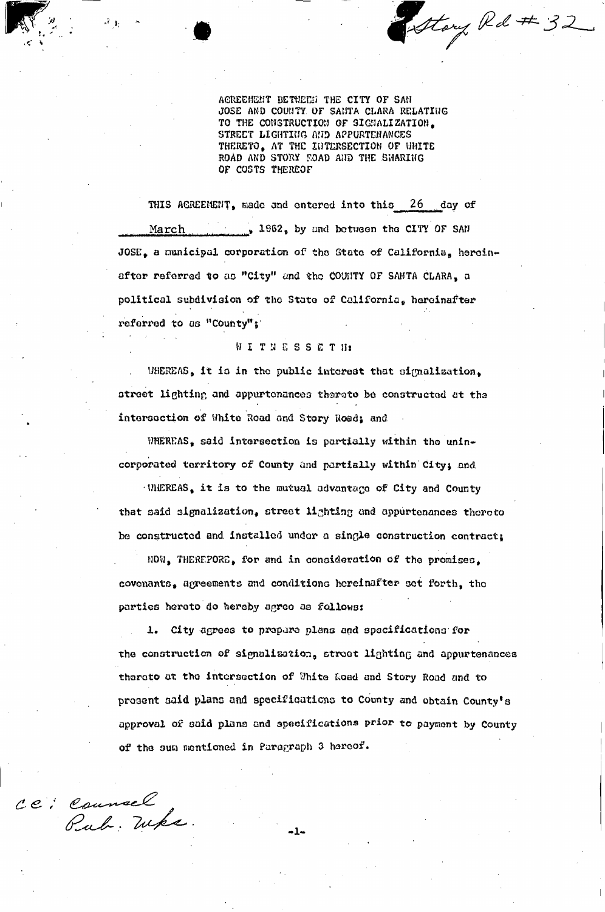Story Rd # 32

ACREEMENT BETWEEN THE CITY OF SAN JOSE AND COUNTY OF SANTA CLARA RELATING TO THE CONSTRUCTION OF SIGNALIZATION. STREET LIGHTING AND APPURTENANCES THERETO, AT THE INTERSECTION OF WHITE ROAD AND STORY FOAD AND THE SHARING OF COSTS THEREOF

THIS ACREEMENT, made and entered into this 26 day of March 1962, by and between the CITY OF SAN JOSE, a municipal corporation of the State of California, hereinafter referred to as "City" and the COUNTY OF SANTA CLARA, a political subdivision of the State of California, hereinafter referred to as "County";

## **WITNESSETH**

WHEREAS, it is in the public interest that signalization, street lighting and appurtonances thereto be constructed at the intersection of White Road and Story Road; and

WHEREAS, said intersection is partially within the unincorporated territory of County and partially within City; and

UNEREAS, it is to the mutual advantage of City and County that said signalization, street lighting and appurtenances thereto be constructed and installed under a single construction contract:

NOW, THEREPORE, for and in consideration of the promises, covenants, agreements and conditions hereinafter set forth, the parties hereto do hereby agree as follows:

1. City agrees to propare plans and spacifications for the construction of signalization, stroot lighting and appurtenances thereto at the intersection of White Road and Story Road and to prosent said plans and specifications to County and obtain County's approval of said plans and specifications prior to payment by County of the sum mentioned in Paragraph 3 hereof.

CC: Counsel

.، 1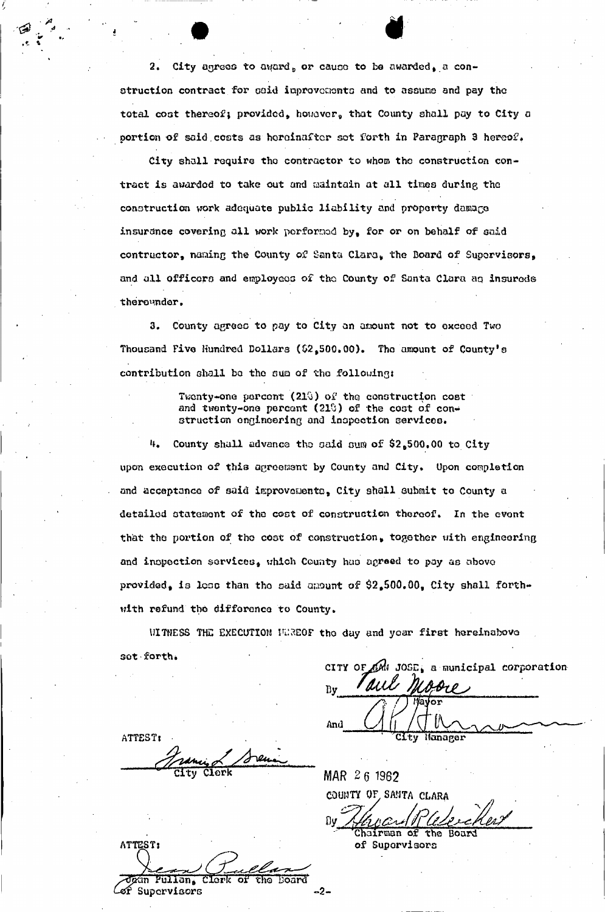2. City agrees to award, or cause to be awarded, a construction contract for oaid iuprovoaento and to assume and pay the total cost thereof; provided, however, that County shall pay to City a portion of said costs as hereinafter sot forth in Paragraph 3 hereof.

i de la partie de la partie de la partie de la partie de la partie de la partie de la partie de la partie de l<br>En 1910, en 1910, en 1910, en 1910, en 1910, en 1910, en 1910, en 1910, en 1910, en 1910, en 1910, en 1910, en<br>

City shall require tho contractor to whom the construction contract is awarded to take out and maintain at all times during the construction work adequate public liability and property damage insurance covering all work performed by, for or on behalf of said contructor, naming the County of Santa Clara, the Board of Supervisors, and all officers and employees of tho County of Santa Clara aq insureds thereunder.

3. County agrees to pay to City on amount not to exceed Two Thousand Five Hundred Dollars (\$2,500.00). Tho amount of County's contribution shall be the sum of the following:

> Twenty-one percent (210) of the construction cost and twenty-one percent (21%) of the cost of construction engineering and inspection servicce.

 $4.$  County shall advance the said sum of  $$2,500.00$  to City upon execution of this agreement by County and City. Upon completion and acceptance of said improveuento, City shall submit to County a detailed statement of tho coot of construction thereof. In the event that the portion of the coat of construction, together with engineering and inspection services, which County hao agreed to pay a*q* above provided, is loss than the said amount of  $2,500.00$ , City shall forthwith refund the difference to County.

WITNESS THE EXECUTION HUREOF the day and year first hereinabove set forth.

ATTEST: Citv Clork

ATTEST: Pullan, Clerk `of' চাত Board ef Supervisors -2-

CITY OF ON JOSE, a municipal corporation 1 aux Br l Bv And Hanager

**MAR 2 6 1962**  COUNTY OF.SANTA CLARA irman of the

of Supervisors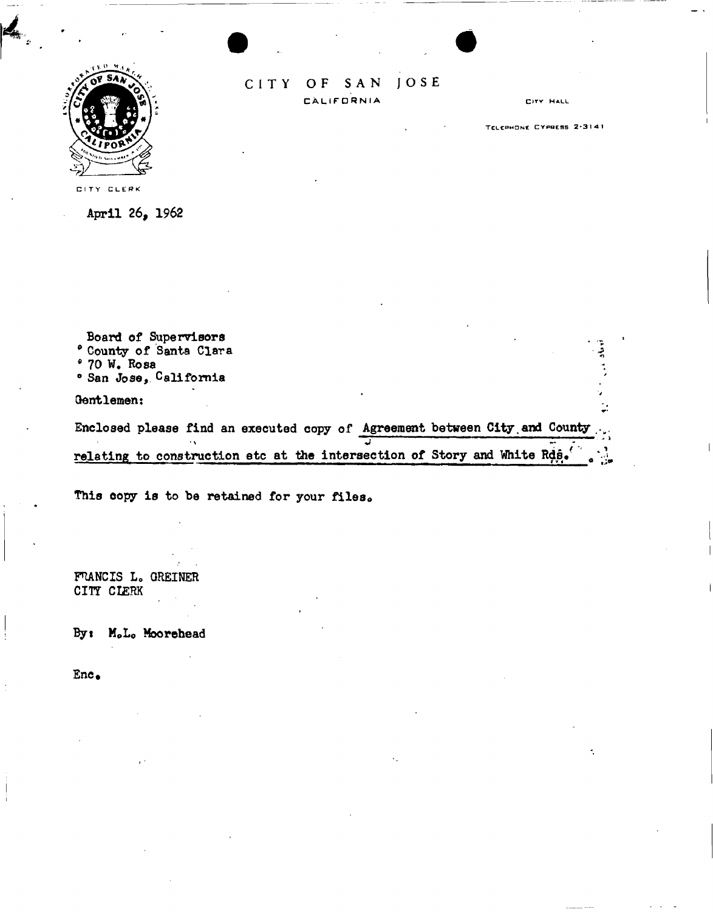

## **JOSE** CITY  $O F$ SAN CALIFORNIA

CITY HALL

TELEPHONE CYPRESS 2-3141

CITY CLERK

April 26, 1962

Board of Supervisors <sup>0</sup> County of Santa Clara i • 70 W. Rosa ° San Jose, California Gentlemen:

Enclosed please find an executed copy of Agreement between City and County relating to construction etc at the intersection of Story and White Rds.

This copy is to be retained for your files.

FRANCIS L. GREINER CITT CI£RK

By: M.L. Moorehead

Enc.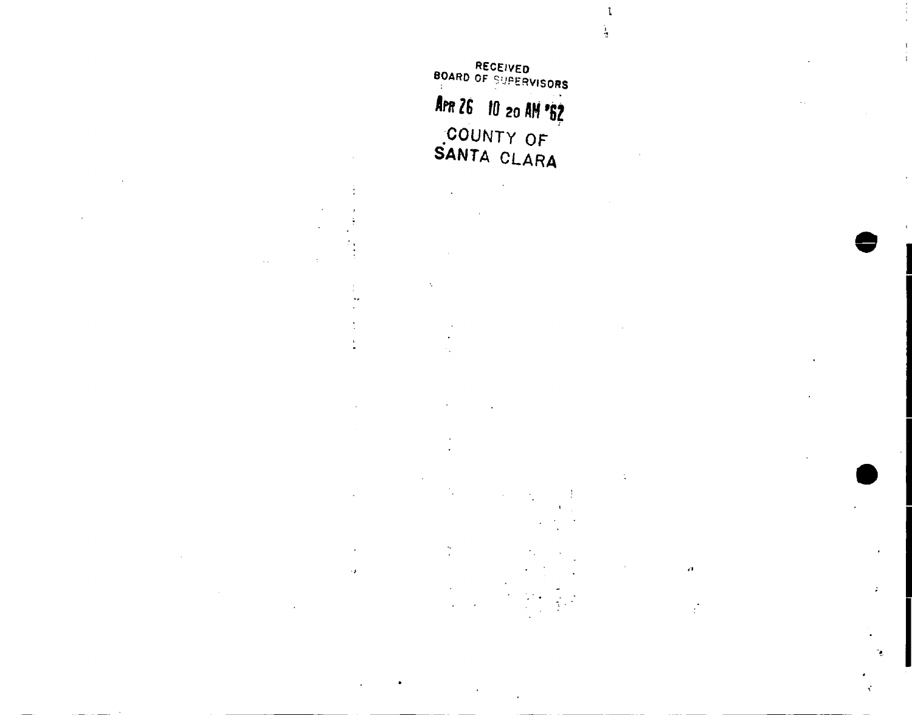RECEIVED BOARD OF SUPERVISORS Am 26 10 20 AM '82 COUNTY OF SANTA CLARA

 $\ddotsc$ 

 $\epsilon$  ).

-1  $\frac{1}{2}$ 

**e ,** 

٠,

Č

*t\** 

 $\frac{1}{2}$ 

ċ,

 $\tilde{\gamma}$  .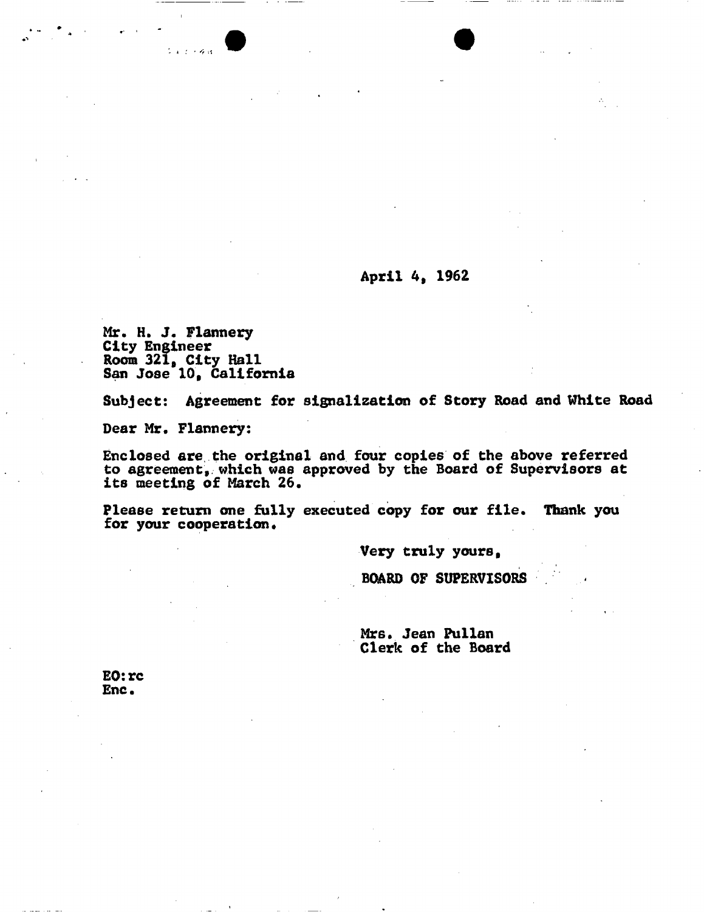## **April 4, 1962**

**Mr. H. J. Flannery City Engineer Room 321, City Hall San Jose 10, California** 

 $2 \times 2 + 6 \times 1$ 

**Subject: Agreement for signalization of Story Road and White Road** 

**Dear Mr. Flannery:** 

**Enclosed are. the original and four copies of the above referred to agreement, which was approved by the Board of Supervisors at its meeting of March 26.** 

**Please return one fully executed copy for our file. Thank you**  for your cooperation.

**Very truly yours,** 

**BOARD OF SUPERVISORS** 

**Mr6. Jean Pullan Clerk of the Board** 

**E0:rc Enc.**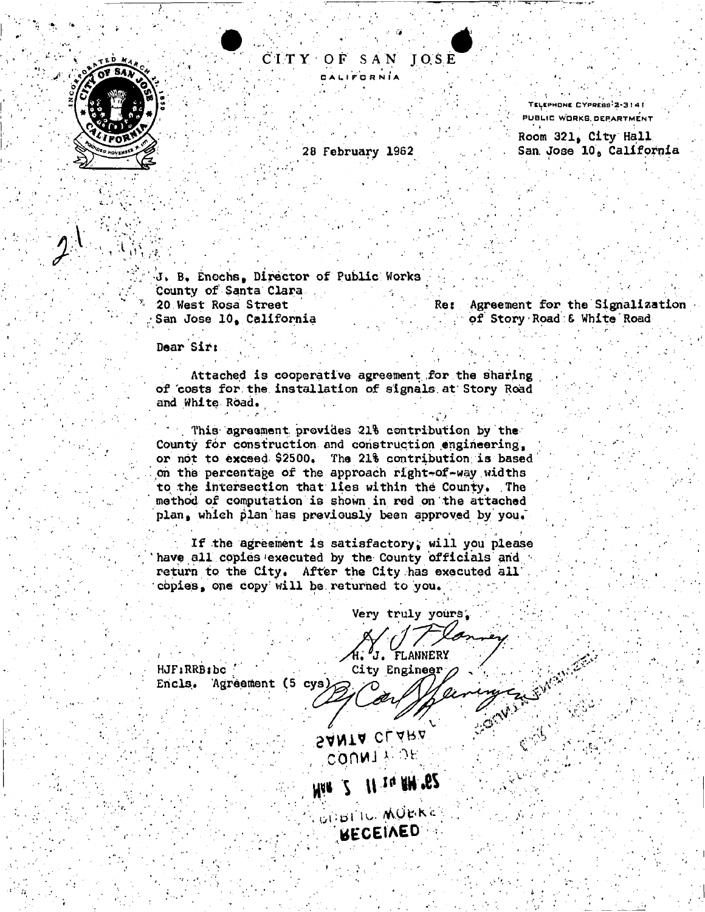

i t is

 $\frac{1}{2}$ 

## CIT Y O F SA N JOS E CALIFORNIA *4*

28 February 1962

TELEPHONE CYPRESS 2-3141 PUBLIC WORKS. DEPARTMENT

Room 321, City Hall San. Jose 10, California

B, Enochs, Director of Public Works County of Santa Clara <sup>x</sup> 20 West Rosa Street San Jose 10, California

Re: Agreement for the Signalization of Story • Road & White' Road

••.v "

Dear Sir:

\* \* \* \* \* \* \* \*

Attached is cooperative agreement for the sharing of "costs for the installation of signals at Story Road and White Road. " ' •<sup>r</sup>' ' ^ • •<sup>r</sup> ' /

This agreement provides 21% contribution by the County for construction and construction engineering, or not to exceed- \$2500. The 21% contribution, is based' on the percentage of the approach right-of-way widths to the intersection that lies within the County. The method of computation is shown in red on the attached plan, which plan has previously been approved by you.

If the agreement is satisfactory, will you please have all copies executed by the County officials and return to the City. After the City has executed all copies, one copy' will be returned to you.

<sup>1</sup> ' • \*<sup>1</sup> , \* • *. .1 \** 

Very truly yours;

HJFiRRBlbc Encls. Agreement (5 cys)

J. FLANNERY City Engineer

SANTA CLARA , COO K J<sup>1</sup>

**MAR** 2 11 14 RM 562

*<b>ECEIAED*